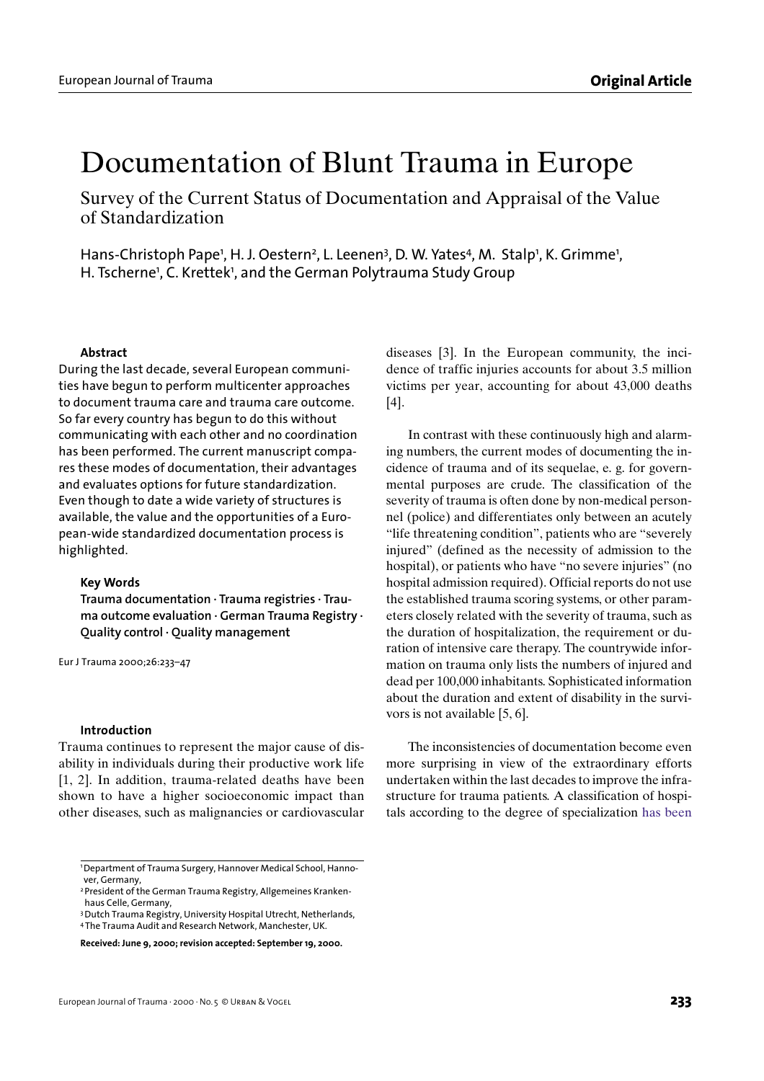# Documentation of Blunt Trauma in Europe

Survey of the Current Status of Documentation and Appraisal of the Value of Standardization

Hans-Christoph Pape<sup>1</sup>, H. J. Oestern<sup>2</sup>, L. Leenen<sup>3</sup>, D. W. Yates<sup>4</sup>, M. Stalp<sup>1</sup>, K. Grimme<sup>1</sup>, H. Tscherne<sup>1</sup>, C. Krettek<sup>1</sup>, and the German Polytrauma Study Group

#### **Abstract**

During the last decade, several European communities have begun to perform multicenter approaches to document trauma care and trauma care outcome. So far every country has begun to do this without communicating with each other and no coordination has been performed. The current manuscript compares these modes of documentation, their advantages and evaluates options for future standardization. Even though to date a wide variety of structures is available, the value and the opportunities of a European-wide standardized documentation process is highlighted.

#### **Key Words**

**Trauma documentation · Trauma registries · Trauma outcome evaluation · German Trauma Registry · Quality control · Quality management**

Eur J Trauma 2000;26:233–47

#### **Introduction**

Trauma continues to represent the major cause of disability in individuals during their productive work life [1, 2]. In addition, trauma-related deaths have been shown to have a higher socioeconomic impact than other diseases, such as malignancies or cardiovascular

diseases [3]. In the European community, the incidence of traffic injuries accounts for about 3.5 million victims per year, accounting for about 43,000 deaths [4].

In contrast with these continuously high and alarming numbers, the current modes of documenting the incidence of trauma and of its sequelae, e. g. for governmental purposes are crude. The classification of the severity of trauma is often done by non-medical personnel (police) and differentiates only between an acutely "life threatening condition", patients who are "severely injured" (defined as the necessity of admission to the hospital), or patients who have "no severe injuries" (no hospital admission required). Official reports do not use the established trauma scoring systems, or other parameters closely related with the severity of trauma, such as the duration of hospitalization, the requirement or duration of intensive care therapy. The countrywide information on trauma only lists the numbers of injured and dead per 100,000 inhabitants. Sophisticated information about the duration and extent of disability in the survivors is not available [5, 6].

The inconsistencies of documentation become even more surprising in view of the extraordinary efforts undertaken within the last decades to improve the infrastructure for trauma patients. A classification of hospitals according to the degree of specialization has been

<sup>1</sup> Department of Trauma Surgery, Hannover Medical School, Hannover, Germany,

<sup>2</sup> President of the German Trauma Registry, Allgemeines Krankenhaus Celle, Germany,

<sup>3</sup> Dutch Trauma Registry, University Hospital Utrecht, Netherlands, 4 The Trauma Audit and Research Network, Manchester, UK.

**Received: June 9, 2000; revision accepted: September 19, 2000.**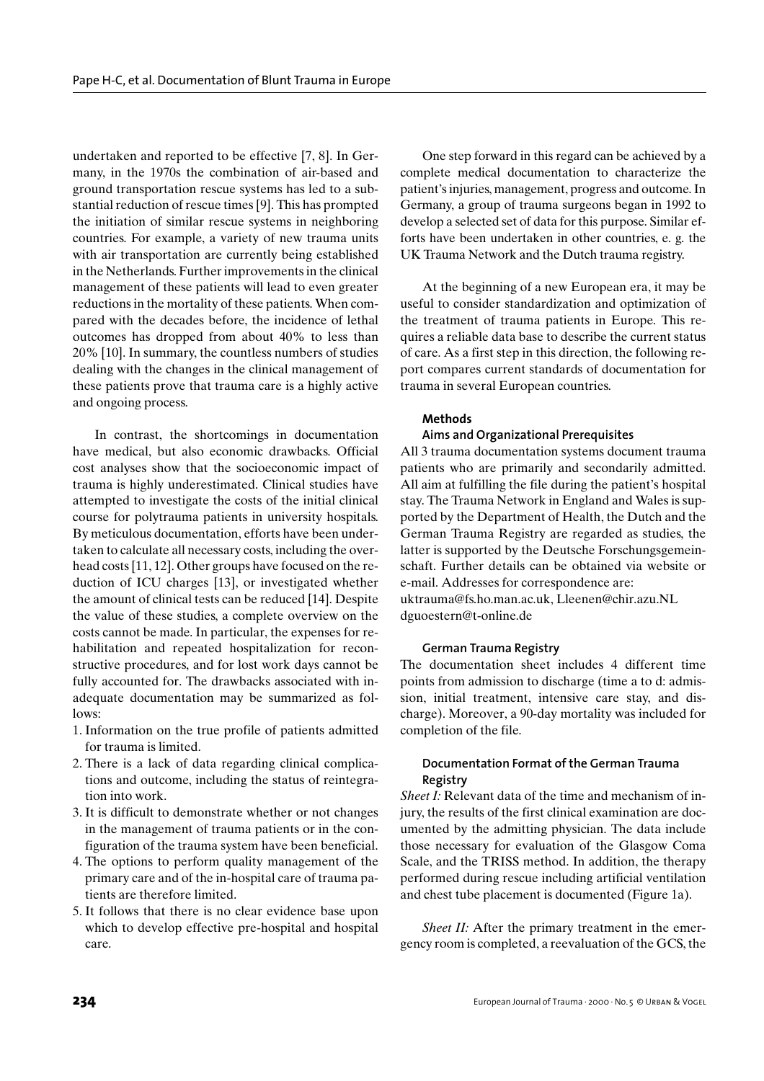undertaken and reported to be effective [7, 8]. In Germany, in the 1970s the combination of air-based and ground transportation rescue systems has led to a substantial reduction of rescue times [9]. This has prompted the initiation of similar rescue systems in neighboring countries. For example, a variety of new trauma units with air transportation are currently being established in the Netherlands. Further improvements in the clinical management of these patients will lead to even greater reductions in the mortality of these patients. When compared with the decades before, the incidence of lethal outcomes has dropped from about 40% to less than 20% [10]. In summary, the countless numbers of studies dealing with the changes in the clinical management of these patients prove that trauma care is a highly active and ongoing process.

In contrast, the shortcomings in documentation have medical, but also economic drawbacks. Official cost analyses show that the socioeconomic impact of trauma is highly underestimated. Clinical studies have attempted to investigate the costs of the initial clinical course for polytrauma patients in university hospitals. By meticulous documentation, efforts have been undertaken to calculate all necessary costs, including the overhead costs [11, 12]. Other groups have focused on the reduction of ICU charges [13], or investigated whether the amount of clinical tests can be reduced [14]. Despite the value of these studies, a complete overview on the costs cannot be made. In particular, the expenses for rehabilitation and repeated hospitalization for reconstructive procedures, and for lost work days cannot be fully accounted for. The drawbacks associated with inadequate documentation may be summarized as follows:

- 1. Information on the true profile of patients admitted for trauma is limited.
- 2. There is a lack of data regarding clinical complications and outcome, including the status of reintegration into work.
- 3. It is difficult to demonstrate whether or not changes in the management of trauma patients or in the configuration of the trauma system have been beneficial.
- 4. The options to perform quality management of the primary care and of the in-hospital care of trauma patients are therefore limited.
- 5. It follows that there is no clear evidence base upon which to develop effective pre-hospital and hospital care.

One step forward in this regard can be achieved by a complete medical documentation to characterize the patient's injuries, management, progress and outcome. In Germany, a group of trauma surgeons began in 1992 to develop a selected set of data for this purpose. Similar efforts have been undertaken in other countries, e. g. the UK Trauma Network and the Dutch trauma registry.

At the beginning of a new European era, it may be useful to consider standardization and optimization of the treatment of trauma patients in Europe. This requires a reliable data base to describe the current status of care. As a first step in this direction, the following report compares current standards of documentation for trauma in several European countries.

# **Methods**

## **Aims and Organizational Prerequisites**

All 3 trauma documentation systems document trauma patients who are primarily and secondarily admitted. All aim at fulfilling the file during the patient's hospital stay. The Trauma Network in England and Wales is supported by the Department of Health, the Dutch and the German Trauma Registry are regarded as studies, the latter is supported by the Deutsche Forschungsgemeinschaft. Further details can be obtained via website or e-mail. Addresses for correspondence are: uktrauma@fs.ho.man.ac.uk, Lleenen@chir.azu.NL dguoestern@t-online.de

#### **German Trauma Registry**

The documentation sheet includes 4 different time points from admission to discharge (time a to d: admission, initial treatment, intensive care stay, and discharge). Moreover, a 90-day mortality was included for completion of the file.

# **Documentation Format of the German Trauma Registry**

*Sheet I:* Relevant data of the time and mechanism of injury, the results of the first clinical examination are documented by the admitting physician. The data include those necessary for evaluation of the Glasgow Coma Scale, and the TRISS method. In addition, the therapy performed during rescue including artificial ventilation and chest tube placement is documented (Figure 1a).

*Sheet II:* After the primary treatment in the emergency room is completed, a reevaluation of the GCS, the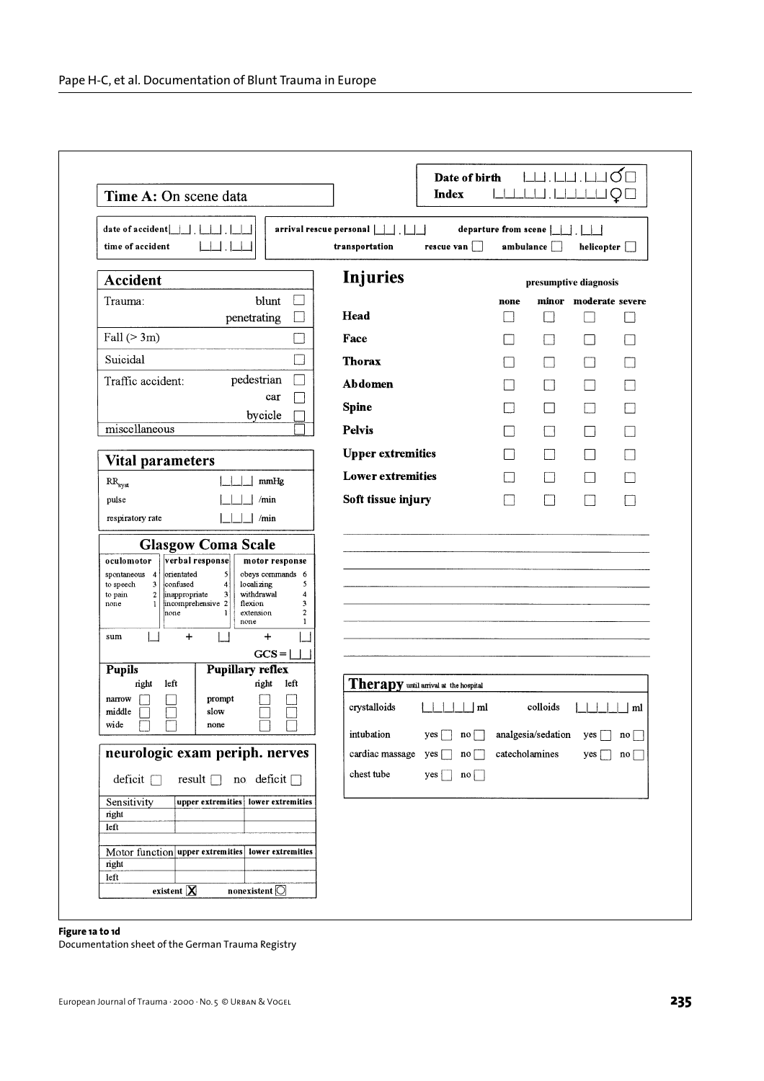| Time A: On scene data                                                                                                                                                                                                                                                                                                                                                                                  | <b>Index</b>                                                |                      |                        |                          |                    |
|--------------------------------------------------------------------------------------------------------------------------------------------------------------------------------------------------------------------------------------------------------------------------------------------------------------------------------------------------------------------------------------------------------|-------------------------------------------------------------|----------------------|------------------------|--------------------------|--------------------|
| date of accident<br>time of accident                                                                                                                                                                                                                                                                                                                                                                   | arrival rescue personal    <br>transportation<br>rescue van | departure from scene | ambulance              | helicopter               |                    |
| <b>Accident</b>                                                                                                                                                                                                                                                                                                                                                                                        | <b>Injuries</b>                                             |                      | presumptive diagnosis  |                          |                    |
| blunt<br>Trauma:                                                                                                                                                                                                                                                                                                                                                                                       |                                                             | none                 |                        | minor moderate severe    |                    |
| penetrating                                                                                                                                                                                                                                                                                                                                                                                            | Head                                                        |                      |                        |                          |                    |
| Fall $(>3m)$                                                                                                                                                                                                                                                                                                                                                                                           | Face                                                        |                      | - 1                    | $\sim$                   |                    |
| Suicidal                                                                                                                                                                                                                                                                                                                                                                                               | <b>Thorax</b>                                               |                      |                        | L.                       |                    |
| Traffic accident:<br>pedestrian                                                                                                                                                                                                                                                                                                                                                                        | Abdomen                                                     |                      |                        | $\overline{\phantom{a}}$ |                    |
| car                                                                                                                                                                                                                                                                                                                                                                                                    | <b>Spine</b>                                                |                      |                        |                          |                    |
| bycicle<br>miscellaneous                                                                                                                                                                                                                                                                                                                                                                               | <b>Pelvis</b>                                               |                      | - 1                    | $\Box$                   |                    |
|                                                                                                                                                                                                                                                                                                                                                                                                        | <b>Upper extremities</b>                                    |                      |                        | $\mathcal{L}$            |                    |
| <b>Vital parameters</b>                                                                                                                                                                                                                                                                                                                                                                                | <b>Lower extremities</b>                                    |                      |                        | $\blacksquare$           |                    |
| mmHg<br>$RR_{sys}$                                                                                                                                                                                                                                                                                                                                                                                     |                                                             |                      |                        |                          |                    |
| /min<br>pulse<br>respiratory rate<br>/min                                                                                                                                                                                                                                                                                                                                                              | Soft tissue injury                                          |                      |                        |                          |                    |
| verbal response<br>oculomotor<br>motor response<br>orientated<br>5<br>obeys commands 6<br>spontaneous 4<br>confused<br>localizing<br>5<br>3<br>$\overline{\mathbf{4}}$<br>to speech<br>withdrawal<br>$\overline{\mathbf{c}}$<br>inappropriate<br>3<br>4<br>to pain<br>incomprehensive 2<br>flexion<br>3<br>none<br>$\overline{2}$<br>none<br>extension<br>1<br>none<br>1<br>$\div$<br>$\ddot{}$<br>sum |                                                             |                      |                        |                          |                    |
| $GCS =  $<br><b>Pupillary reflex</b><br><b>Pupils</b>                                                                                                                                                                                                                                                                                                                                                  |                                                             |                      |                        |                          |                    |
| right<br>left<br>right<br>left<br>narrow<br>prompt<br>middle<br>slow                                                                                                                                                                                                                                                                                                                                   | Therapy until arrival at the hospital<br>crystalloids<br>ml |                      | colloids               |                          | ml                 |
| wide<br>none<br>لسا لما<br>لسا لسا                                                                                                                                                                                                                                                                                                                                                                     | intubation<br>yes<br>$no$                                   |                      | analgesia/sedation yes |                          | $\mathbf{n} \circ$ |
| neurologic exam periph. nerves                                                                                                                                                                                                                                                                                                                                                                         | cardiac massage yes<br>no <sub>l</sub>                      |                      | catecholamines         | $yes \Box$               | $no \lceil$        |
| deficit<br>result no deficit                                                                                                                                                                                                                                                                                                                                                                           | chest tube<br>yes  <br>no                                   |                      |                        |                          |                    |
| Sensitivity<br>upper extremities lower extremities<br>right<br>left<br>Motor function upper extremities lower extremities<br>right                                                                                                                                                                                                                                                                     |                                                             |                      |                        |                          |                    |
|                                                                                                                                                                                                                                                                                                                                                                                                        |                                                             |                      |                        |                          |                    |

**Figure 1a to 1d**

Documentation sheet of the German Trauma Registry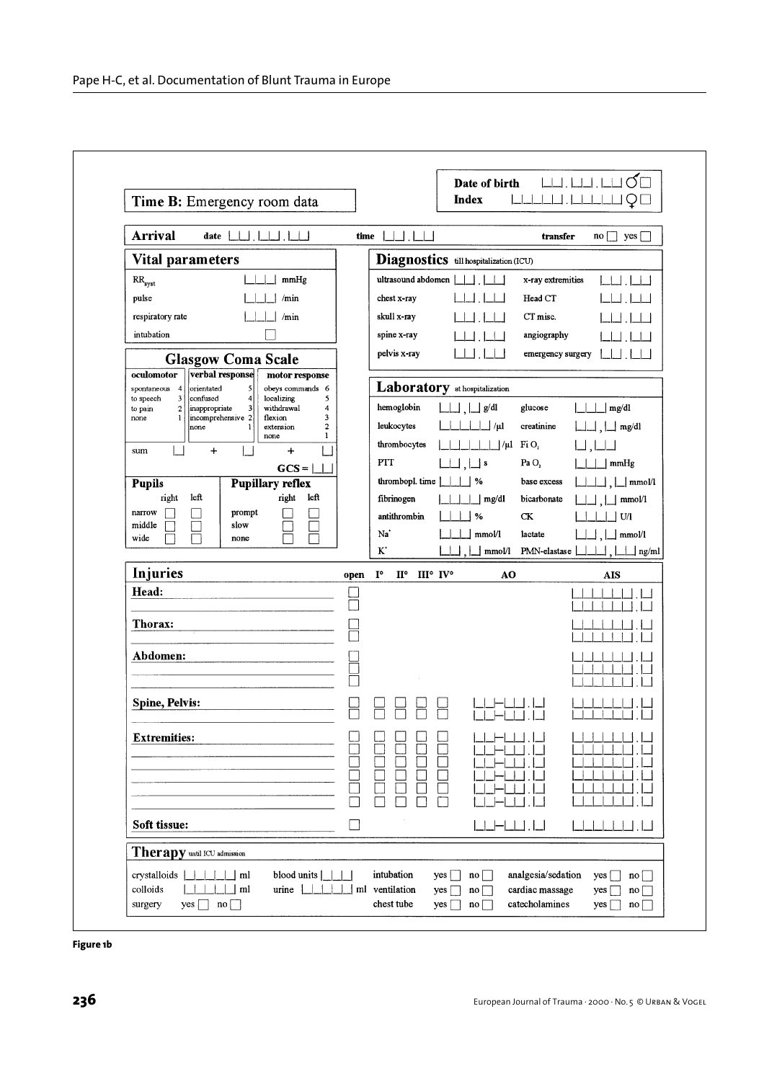| <b>Arrival</b>                                                                                                                                     | time   | 1.1                                          |                            |                               | transfer                       | no<br>yes                  |
|----------------------------------------------------------------------------------------------------------------------------------------------------|--------|----------------------------------------------|----------------------------|-------------------------------|--------------------------------|----------------------------|
| Vital parameters                                                                                                                                   |        | Diagnostics till hospitalization (ICU)       |                            |                               |                                |                            |
| mmHg<br>$RR_{syst}$                                                                                                                                |        | ultrasound abdomen                           |                            |                               | x-ray extremities              |                            |
| pulse<br>/min                                                                                                                                      |        | chest x-ray                                  |                            |                               | Head CT                        |                            |
| respiratory rate<br>/min                                                                                                                           |        | skull x-ray                                  |                            |                               | CT misc.                       |                            |
| intubation                                                                                                                                         |        | spine x-ray                                  |                            |                               | angiography                    |                            |
| <b>Glasgow Coma Scale</b>                                                                                                                          |        | pelvis x-ray                                 |                            |                               | emergency surgery              |                            |
| verbal response<br>oculomotor<br>motor response                                                                                                    |        |                                              |                            |                               |                                |                            |
| orientated<br>$\mathbf{5}$<br>obeys commands 6<br>spontaneous 4<br>confused<br>localizing<br>3<br>$\vert$<br>5<br>to speech                        |        | Laboratory at hospitalization                |                            |                               |                                |                            |
| $\mathbf 2$<br>inappropriate<br>$\overline{\mathbf{3}}$<br>withdrawal<br>4<br>to pain<br>3<br>$\mathbf{1}$<br>incomprehensive 2<br>flexion<br>none |        | hemoglobin                                   |                            | $\int g/dl$                   | glucose                        | mg/dl                      |
| $\overline{\mathbf{c}}$<br>none<br>extension<br>1<br>none                                                                                          |        | leukocytes                                   |                            | $\perp$ / $\mu$ l             | creatinine                     | $\Box$ mg/dl               |
| $\ddot{}$<br>$\pmb{+}$<br>sum                                                                                                                      |        | thrombocytes                                 |                            | $\Box/\mu I$ FiO <sub>2</sub> |                                |                            |
| $GCS =  $                                                                                                                                          |        | PTT<br>thrombopl. time                       | $\Box$ , $\Box$ s          |                               | Pa <sub>O</sub><br>base excess | mmHg                       |
| <b>Pupillary reflex</b><br><b>Pupils</b><br>right<br>left<br>right<br>left                                                                         |        | fibrinogen                                   |                            | %<br>mg/dl                    | bicarbonate                    | $\lfloor$ mmol/l<br>mmol/l |
| narrow<br>prompt                                                                                                                                   |        | antithrombin                                 |                            | %                             | CK                             | U/1                        |
| middle<br>slow<br>wide<br>none                                                                                                                     |        | Na                                           |                            | mmol/l                        | lactate                        | mmol/l                     |
|                                                                                                                                                    |        | $\mathbf{K}^*$                               |                            | mmol/l                        | PMN-elastase                   | $\Box$ ng/ml               |
| <b>Injuries</b>                                                                                                                                    | open   | $\mathbf{I}^{\circ}$<br>$\mathbf{H}^{\circ}$ | $III^{\circ}$ $IV^{\circ}$ | AO                            |                                | <b>AIS</b>                 |
| Head:                                                                                                                                              |        |                                              |                            |                               |                                |                            |
| Thorax:                                                                                                                                            |        |                                              |                            |                               |                                |                            |
|                                                                                                                                                    |        |                                              |                            |                               |                                |                            |
|                                                                                                                                                    |        |                                              |                            |                               |                                |                            |
| Abdomen:                                                                                                                                           |        |                                              |                            |                               |                                |                            |
|                                                                                                                                                    |        |                                              |                            |                               |                                |                            |
| <b>Spine, Pelvis:</b>                                                                                                                              |        |                                              |                            |                               |                                |                            |
|                                                                                                                                                    |        |                                              |                            |                               |                                |                            |
| <b>Extremities:</b>                                                                                                                                |        |                                              |                            |                               |                                |                            |
|                                                                                                                                                    |        |                                              |                            |                               |                                |                            |
|                                                                                                                                                    |        |                                              |                            |                               |                                |                            |
|                                                                                                                                                    |        |                                              | ٦                          |                               |                                |                            |
| Soft tissue:                                                                                                                                       | $\Box$ |                                              |                            | _ — __ __  .  __              |                                |                            |

**Figure 1b**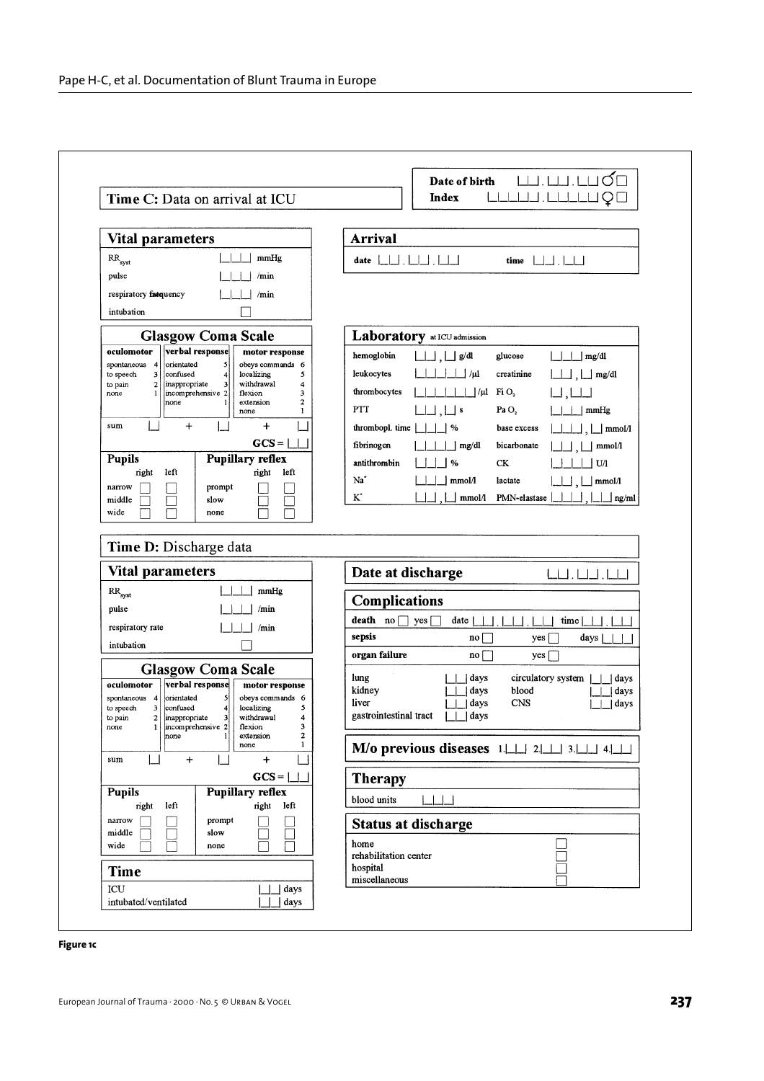| Time C: Data on arrival at ICU                                                                                                              | Index<br>Q                                                         |
|---------------------------------------------------------------------------------------------------------------------------------------------|--------------------------------------------------------------------|
| <b>Vital parameters</b>                                                                                                                     | <b>Arrival</b>                                                     |
| mmHg<br>$RR_{syst}$                                                                                                                         | 19 . 19 . 19 . 19 . 19<br>$\Box$ . $\Box\Box$<br>date<br>time      |
| pulse<br>/min                                                                                                                               |                                                                    |
| respiratory fatquency<br>/min                                                                                                               |                                                                    |
| intubation                                                                                                                                  |                                                                    |
| <b>Glasgow Coma Scale</b>                                                                                                                   | Laboratory at ICU admission                                        |
| verbal response<br>oculomotor<br>motor response                                                                                             | hemoglobin<br>$\Box$ g/dl<br>glucose<br>mg/dl                      |
| orientated<br>obeys commands 6<br>spontaneous<br>5<br>4<br>confused<br>localizing<br>5<br>to speech<br>3<br>4                               | leukocytes<br>$/\mu$ l<br>creatinine<br>mg/dl                      |
| inappropriate<br>withdrawal<br>$\mathbf 2$<br>3<br>4<br>to pain<br>incomprehensive 2<br>flexion<br>3<br>none<br>1                           | FiO <sub>2</sub><br>thrombocytes<br>$\frac{1}{\mu}$                |
| $\mathbf{2}$<br>none<br>extension<br>ı<br>none<br>1                                                                                         | <b>PTT</b><br>$\vert$   s<br>Pa $O2$<br>mmHg                       |
| $\ddot{}$<br>$\ddot{}$<br>sum                                                                                                               | thrombopl. time<br>%<br>base excess<br>$\mathsf{mmol}/1$           |
| $GCS =  $                                                                                                                                   | fibrinogen<br>bicarbonate<br>mg/dl<br>mmol/l                       |
| <b>Pupillary reflex</b><br><b>Pupils</b><br>right<br>left<br>nght<br>left                                                                   | antithrombin<br>%<br><b>CK</b><br>U/1                              |
| narrow<br>prompt                                                                                                                            | Na<br>mmol/l<br>lactate<br>mmol/l                                  |
| middle<br>slow<br>$\mathbf{I}$<br>wide<br>none                                                                                              | $\mathbf{K}^*$<br>mmol/l<br>PMN-elastase<br>ng/ml                  |
|                                                                                                                                             |                                                                    |
|                                                                                                                                             |                                                                    |
|                                                                                                                                             |                                                                    |
| Time D: Discharge data<br><b>Vital parameters</b>                                                                                           |                                                                    |
| mmHg                                                                                                                                        | Date at discharge                                                  |
| $\rm RR_{\rm syst}$<br>/min<br>pulse                                                                                                        | <b>Complications</b>                                               |
| respiratory rate<br>/min                                                                                                                    | death no<br>date<br>yes<br>time                                    |
| intubation                                                                                                                                  | sepsis<br>$\mathbf{n}$ o<br>days  <br>yes                          |
|                                                                                                                                             | organ failure<br>$\overline{no}$<br>$yes \Box$                     |
| <b>Glasgow Coma Scale</b><br>verbal response<br>oculomotor<br>motor response                                                                | lung<br>circulatory system<br>days<br>days<br>blood                |
| orientated<br>5<br>obeys commands 6<br>spontaneous<br>$\overline{4}$<br>3<br>confused<br>$\overline{\bf 4}$<br>localizing<br>5<br>to speech | kidney<br>days<br>$\,$ days<br>liver<br><b>CNS</b><br>days<br>days |
| inappropriate<br>3 <sup>1</sup><br>to pain<br>$\mathbf 2$<br>withdrawal<br>4<br>incomprehensive 2<br>flexion<br>3<br>1<br>none              | gastrointestinal tract<br>days                                     |
| $\mathbf{2}$<br>$\mathbf{1}$<br>extension<br>none<br>1<br>none                                                                              | M/o previous diseases $1 \perp 2 \perp 3 \perp 4 \perp 4$          |
| $\ddot{}$<br>$\mathbf{1}$<br>$\div$<br>sum                                                                                                  |                                                                    |
| $GCS =  $                                                                                                                                   | <b>Therapy</b>                                                     |
| <b>Pupillary reflex</b><br><b>Pupils</b><br>right<br>left<br>right<br>left                                                                  | blood units                                                        |
| narrow<br>prompt                                                                                                                            | <b>Status at discharge</b>                                         |
| slow<br>middle<br>wide<br>none                                                                                                              | home                                                               |
| <b>Time</b>                                                                                                                                 | rehabilitation center<br>hospital                                  |

## **Figure 1c**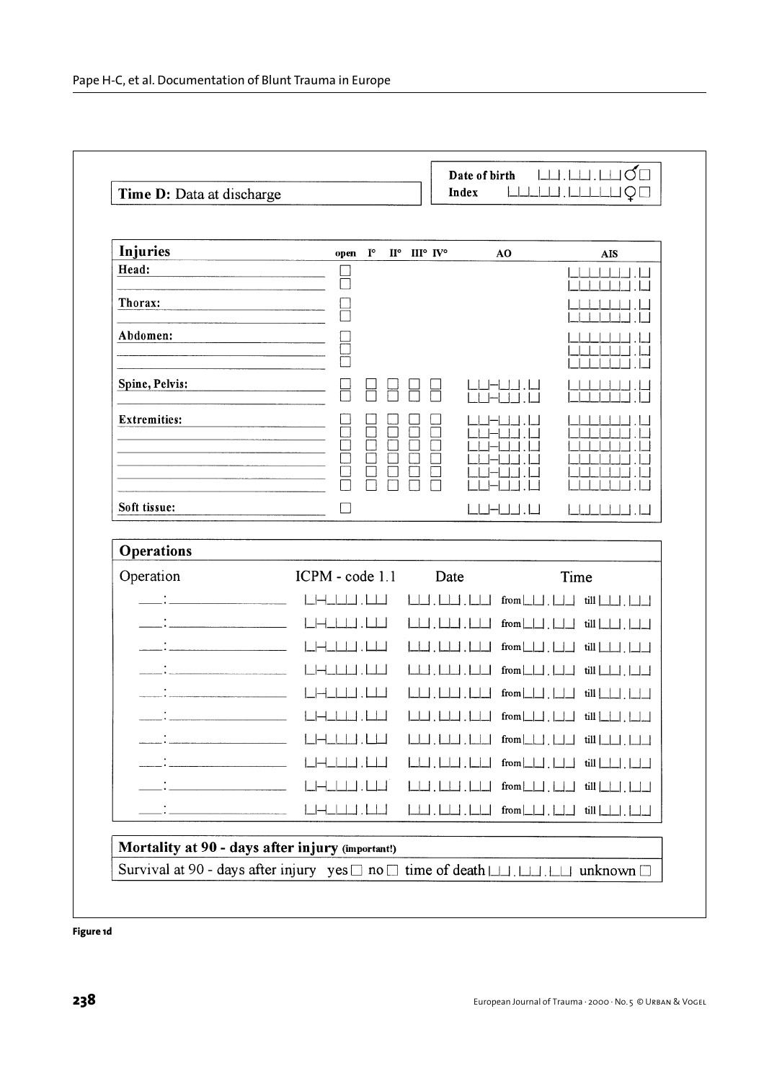| Injuries                                                                                                                                                                                                                                                                                                                                                                                                                                               | open<br>$\mathbf{I}^{\circ}$ | ${\rm II}^\circ\quad {\rm III}^\circ\ {\rm IV}^\circ$ | AO                                              | <b>AIS</b>    |
|--------------------------------------------------------------------------------------------------------------------------------------------------------------------------------------------------------------------------------------------------------------------------------------------------------------------------------------------------------------------------------------------------------------------------------------------------------|------------------------------|-------------------------------------------------------|-------------------------------------------------|---------------|
| Head:                                                                                                                                                                                                                                                                                                                                                                                                                                                  |                              |                                                       |                                                 |               |
| Thorax:                                                                                                                                                                                                                                                                                                                                                                                                                                                |                              |                                                       |                                                 |               |
| Abdomen:                                                                                                                                                                                                                                                                                                                                                                                                                                               |                              |                                                       |                                                 |               |
|                                                                                                                                                                                                                                                                                                                                                                                                                                                        |                              |                                                       |                                                 |               |
| Spine, Pelvis:                                                                                                                                                                                                                                                                                                                                                                                                                                         |                              |                                                       |                                                 |               |
| <b>Extremities:</b>                                                                                                                                                                                                                                                                                                                                                                                                                                    |                              |                                                       |                                                 |               |
|                                                                                                                                                                                                                                                                                                                                                                                                                                                        |                              |                                                       |                                                 |               |
|                                                                                                                                                                                                                                                                                                                                                                                                                                                        |                              |                                                       |                                                 |               |
|                                                                                                                                                                                                                                                                                                                                                                                                                                                        |                              |                                                       |                                                 |               |
| Soft tissue:                                                                                                                                                                                                                                                                                                                                                                                                                                           | П                            |                                                       |                                                 |               |
| <b>Operations</b>                                                                                                                                                                                                                                                                                                                                                                                                                                      |                              |                                                       |                                                 |               |
| Operation                                                                                                                                                                                                                                                                                                                                                                                                                                              | ICPM - code 1.1              | Date                                                  |                                                 | Time          |
|                                                                                                                                                                                                                                                                                                                                                                                                                                                        |                              |                                                       | from $\boxed{\phantom{0}}$ .                    | till          |
|                                                                                                                                                                                                                                                                                                                                                                                                                                                        |                              |                                                       | from                                            | till          |
|                                                                                                                                                                                                                                                                                                                                                                                                                                                        |                              |                                                       | from                                            | till          |
|                                                                                                                                                                                                                                                                                                                                                                                                                                                        |                              |                                                       | from                                            | till          |
|                                                                                                                                                                                                                                                                                                                                                                                                                                                        |                              |                                                       | from                                            | till          |
|                                                                                                                                                                                                                                                                                                                                                                                                                                                        |                              |                                                       | from $\Box$                                     | $\frac{1}{2}$ |
|                                                                                                                                                                                                                                                                                                                                                                                                                                                        |                              |                                                       |                                                 |               |
|                                                                                                                                                                                                                                                                                                                                                                                                                                                        |                              | $\perp\!\!\!\perp$ . I                                |                                                 |               |
|                                                                                                                                                                                                                                                                                                                                                                                                                                                        |                              | $\Box$ . $\Box$                                       | $from \Box \Box$ . $\Box \Box$ till $\Box \Box$ |               |
| $\label{eq:2.1} \frac{1}{\sqrt{2}}\left(\frac{1}{\sqrt{2}}\right)^{2} \left(\frac{1}{\sqrt{2}}\right)^{2} \left(\frac{1}{\sqrt{2}}\right)^{2} \left(\frac{1}{\sqrt{2}}\right)^{2} \left(\frac{1}{\sqrt{2}}\right)^{2} \left(\frac{1}{\sqrt{2}}\right)^{2} \left(\frac{1}{\sqrt{2}}\right)^{2} \left(\frac{1}{\sqrt{2}}\right)^{2} \left(\frac{1}{\sqrt{2}}\right)^{2} \left(\frac{1}{\sqrt{2}}\right)^{2} \left(\frac{1}{\sqrt{2}}\right)^{2} \left(\$ |                              |                                                       |                                                 |               |

**Figure 1d**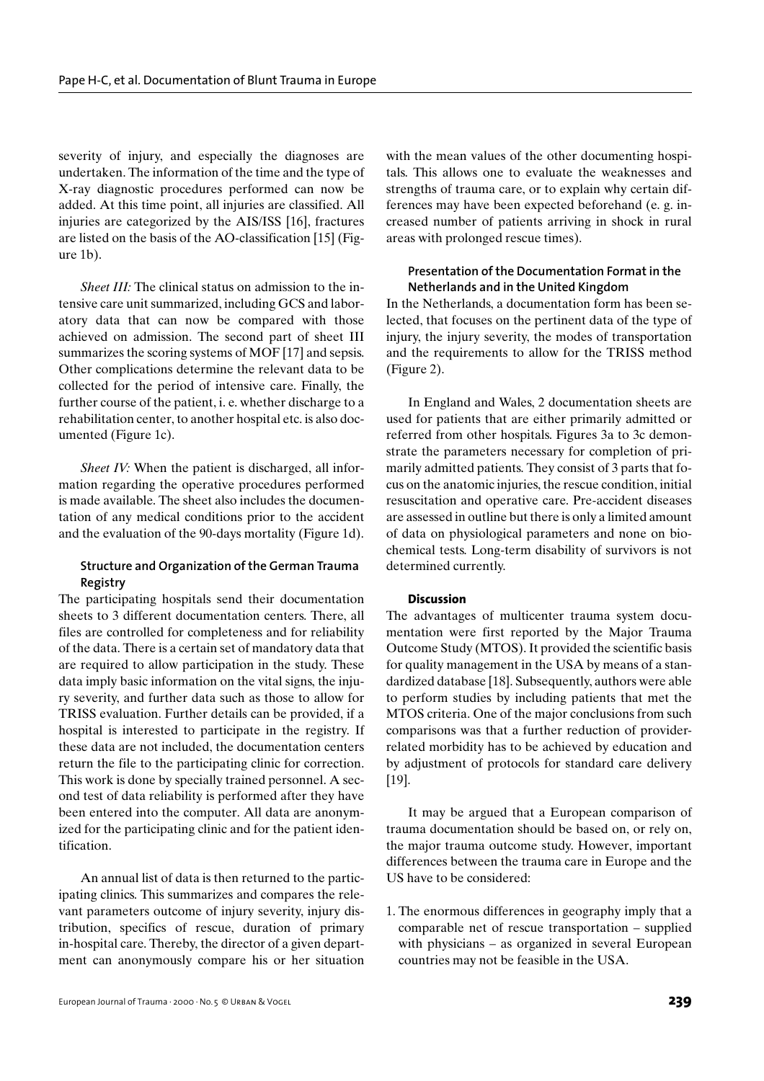severity of injury, and especially the diagnoses are undertaken. The information of the time and the type of X-ray diagnostic procedures performed can now be added. At this time point, all injuries are classified. All injuries are categorized by the AIS/ISS [16], fractures are listed on the basis of the AO-classification [15] (Figure 1b).

*Sheet III:* The clinical status on admission to the intensive care unit summarized, including GCS and laboratory data that can now be compared with those achieved on admission. The second part of sheet III summarizes the scoring systems of MOF [17] and sepsis. Other complications determine the relevant data to be collected for the period of intensive care. Finally, the further course of the patient, i. e. whether discharge to a rehabilitation center, to another hospital etc. is also documented (Figure 1c).

*Sheet IV:* When the patient is discharged, all information regarding the operative procedures performed is made available. The sheet also includes the documentation of any medical conditions prior to the accident and the evaluation of the 90-days mortality (Figure 1d).

# **Structure and Organization of the German Trauma Registry**

The participating hospitals send their documentation sheets to 3 different documentation centers. There, all files are controlled for completeness and for reliability of the data. There is a certain set of mandatory data that are required to allow participation in the study. These data imply basic information on the vital signs, the injury severity, and further data such as those to allow for TRISS evaluation. Further details can be provided, if a hospital is interested to participate in the registry. If these data are not included, the documentation centers return the file to the participating clinic for correction. This work is done by specially trained personnel. A second test of data reliability is performed after they have been entered into the computer. All data are anonymized for the participating clinic and for the patient identification.

An annual list of data is then returned to the participating clinics. This summarizes and compares the relevant parameters outcome of injury severity, injury distribution, specifics of rescue, duration of primary in-hospital care. Thereby, the director of a given department can anonymously compare his or her situation with the mean values of the other documenting hospitals. This allows one to evaluate the weaknesses and strengths of trauma care, or to explain why certain differences may have been expected beforehand (e. g. increased number of patients arriving in shock in rural areas with prolonged rescue times).

# **Presentation of the Documentation Format in the Netherlands and in the United Kingdom**

In the Netherlands, a documentation form has been selected, that focuses on the pertinent data of the type of injury, the injury severity, the modes of transportation and the requirements to allow for the TRISS method (Figure 2).

In England and Wales, 2 documentation sheets are used for patients that are either primarily admitted or referred from other hospitals. Figures 3a to 3c demonstrate the parameters necessary for completion of primarily admitted patients. They consist of 3 parts that focus on the anatomic injuries, the rescue condition, initial resuscitation and operative care. Pre-accident diseases are assessed in outline but there is only a limited amount of data on physiological parameters and none on biochemical tests. Long-term disability of survivors is not determined currently.

## **Discussion**

The advantages of multicenter trauma system documentation were first reported by the Major Trauma Outcome Study (MTOS). It provided the scientific basis for quality management in the USA by means of a standardized database [18]. Subsequently, authors were able to perform studies by including patients that met the MTOS criteria. One of the major conclusions from such comparisons was that a further reduction of providerrelated morbidity has to be achieved by education and by adjustment of protocols for standard care delivery [19].

It may be argued that a European comparison of trauma documentation should be based on, or rely on, the major trauma outcome study. However, important differences between the trauma care in Europe and the US have to be considered:

1. The enormous differences in geography imply that a comparable net of rescue transportation – supplied with physicians – as organized in several European countries may not be feasible in the USA.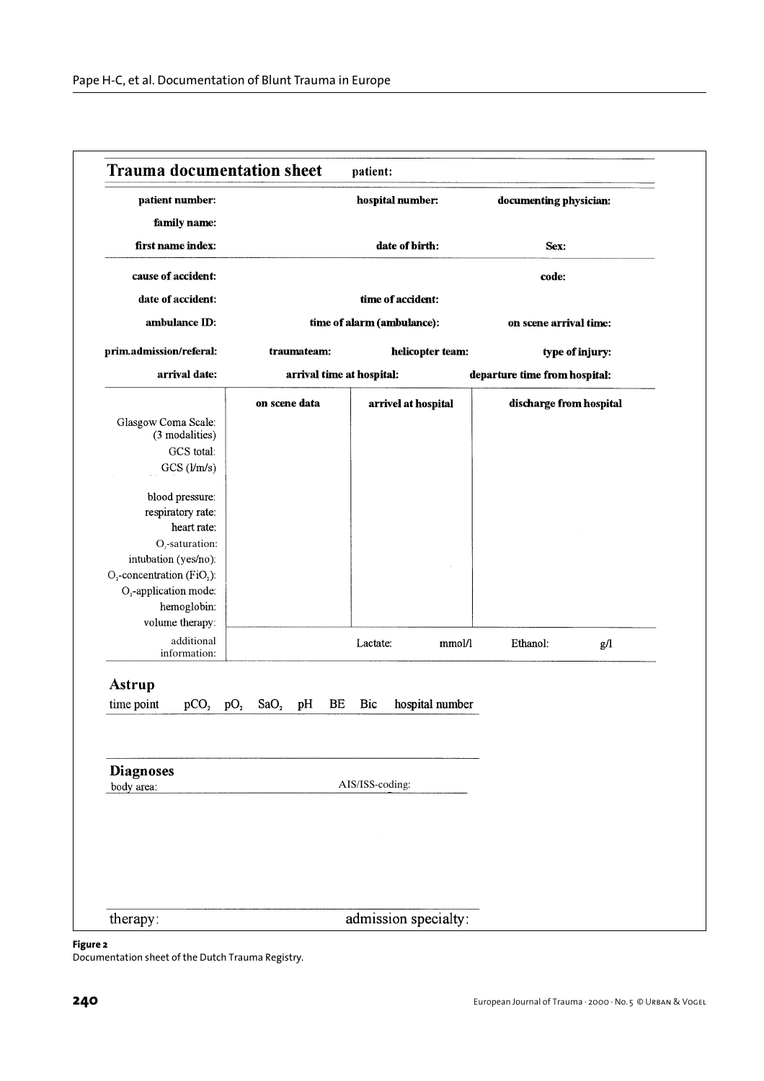|                                                                                |                 |                  |             |    |                           | hospital number:           |                 | documenting physician:        |                 |
|--------------------------------------------------------------------------------|-----------------|------------------|-------------|----|---------------------------|----------------------------|-----------------|-------------------------------|-----------------|
| family name:                                                                   |                 |                  |             |    |                           |                            |                 |                               |                 |
| first name index:                                                              |                 |                  |             |    |                           | date of birth:             |                 | Sex:                          |                 |
| cause of accident:                                                             |                 |                  |             |    |                           |                            |                 | code:                         |                 |
| date of accident:                                                              |                 |                  |             |    |                           | time of accident:          |                 |                               |                 |
| ambulance ID:                                                                  |                 |                  |             |    |                           | time of alarm (ambulance): |                 | on scene arrival time:        |                 |
| prim.admission/referal:                                                        |                 |                  | traumateam: |    |                           | helicopter team:           |                 |                               | type of injury: |
| arrival date:                                                                  |                 |                  |             |    | arrival time at hospital: |                            |                 | departure time from hospital: |                 |
|                                                                                |                 | on scene data    |             |    |                           | arrivel at hospital        |                 | discharge from hospital       |                 |
| Glasgow Coma Scale:<br>(3 modalities)                                          |                 |                  |             |    |                           |                            |                 |                               |                 |
| GCS total:                                                                     |                 |                  |             |    |                           |                            |                 |                               |                 |
| GCS (1/m/s)                                                                    |                 |                  |             |    |                           |                            |                 |                               |                 |
| blood pressure:                                                                |                 |                  |             |    |                           |                            |                 |                               |                 |
| respiratory rate:<br>heart rate:                                               |                 |                  |             |    |                           |                            |                 |                               |                 |
| $O2$ -saturation:                                                              |                 |                  |             |    |                           |                            |                 |                               |                 |
| intubation (yes/no):                                                           |                 |                  |             |    |                           |                            |                 |                               |                 |
| $O_2$ -concentration (FiO <sub>2</sub> ):<br>O <sub>2</sub> -application mode: |                 |                  |             |    |                           |                            |                 |                               |                 |
| hemoglobin:                                                                    |                 |                  |             |    |                           |                            |                 |                               |                 |
| volume therapy:                                                                |                 |                  |             |    |                           |                            |                 |                               |                 |
| additional<br>information:                                                     |                 |                  |             |    | Lactate:                  |                            | mmol/l          | Ethanol:                      | g/l             |
| <b>Astrup</b>                                                                  |                 |                  |             |    |                           |                            |                 |                               |                 |
| time point<br>pCO <sub>2</sub>                                                 | pO <sub>2</sub> | SaO <sub>2</sub> | pH          | BE | Bic                       |                            | hospital number |                               |                 |
|                                                                                |                 |                  |             |    |                           |                            |                 |                               |                 |
| <b>Diagnoses</b><br>body area:                                                 |                 |                  |             |    | AIS/ISS-coding:           |                            |                 |                               |                 |
|                                                                                |                 |                  |             |    |                           |                            |                 |                               |                 |
|                                                                                |                 |                  |             |    |                           |                            |                 |                               |                 |
|                                                                                |                 |                  |             |    |                           |                            |                 |                               |                 |
|                                                                                |                 |                  |             |    |                           |                            |                 |                               |                 |

# **Figure 2**

Documentation sheet of the Dutch Trauma Registry.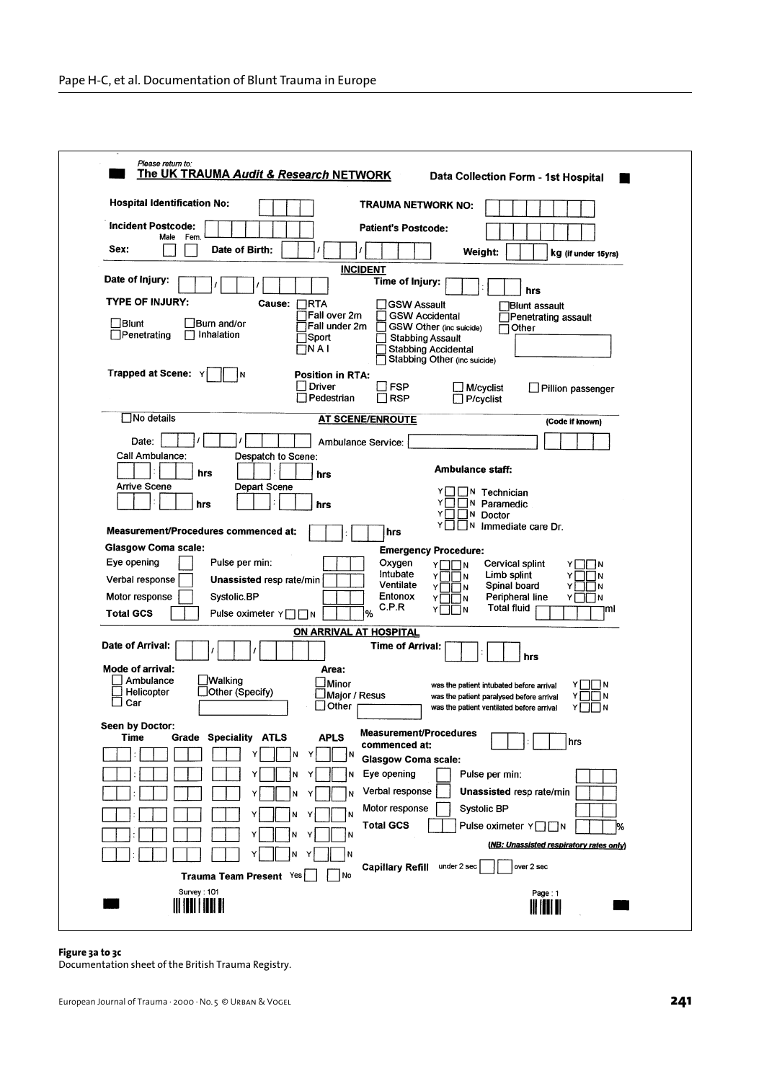| <b>Hospital Identification No:</b>                           | TRAUMA NETWORK NO:                                      |                                                                                      |                                         |
|--------------------------------------------------------------|---------------------------------------------------------|--------------------------------------------------------------------------------------|-----------------------------------------|
| <b>Incident Postcode:</b>                                    | <b>Patient's Postcode:</b>                              |                                                                                      |                                         |
| Fem.<br>Male<br>Sex:<br>Date of Birth:                       |                                                         | Weight:                                                                              | kg (if under 15yrs)                     |
|                                                              | <b>INCIDENT</b>                                         |                                                                                      |                                         |
| Date of injury:                                              | Time of Injury:                                         |                                                                                      | hrs                                     |
| <b>TYPE OF INJURY:</b><br>Cause:<br>7RTA                     | <b>GSW Assault</b>                                      |                                                                                      | <b>Blunt assault</b>                    |
| ∏Blunt<br>Burn and/or                                        | TFall over 2m<br><b>GSW Accidental</b><br>Fall under 2m | GSW Other (inc suicide)<br>Other                                                     | Penetrating assault                     |
| Penetrating<br>Inhalation<br>]Sport                          | <b>Stabbing Assault</b>                                 |                                                                                      |                                         |
| ו A I                                                        |                                                         | <b>Stabbing Accidental</b><br>Stabbing Other (inc suicide)                           |                                         |
| <b>Trapped at Scene: Y</b><br>١N                             | <b>Position in RTA:</b>                                 |                                                                                      |                                         |
|                                                              | <b>Driver</b><br>∃FSP<br>Pedestrian<br>⊟ RSP            | _l M/cyclist<br>$\Box$ P/cyclist                                                     | □ Pillion passenger                     |
| $\square$ No details                                         | <b>AT SCENE/ENROUTE</b>                                 |                                                                                      |                                         |
|                                                              |                                                         |                                                                                      | (Code if known)                         |
| Date:<br>Call Ambulance:                                     | Ambulance Service:                                      |                                                                                      |                                         |
| Despatch to Scene:<br>hrs                                    | hrs                                                     | <b>Ambulance staff:</b>                                                              |                                         |
| <b>Arrive Scene</b><br>Depart Scene                          |                                                         | $\mathbb{N}$ Technician                                                              |                                         |
| hrs                                                          | hrs                                                     | ]N Paramedic                                                                         |                                         |
|                                                              |                                                         | Y□□N Doctor<br>ΥI<br>$\exists$ <sup>N</sup> Immediate care Dr.                       |                                         |
| Measurement/Procedures commenced at:                         | hrs                                                     |                                                                                      |                                         |
| <b>Glasgow Coma scale:</b><br>Eye opening<br>Pulse per min:  | Oxygen                                                  | <b>Emergency Procedure:</b>                                                          |                                         |
| Verbal response<br><b>Unassisted resp rate/min</b>           | Intubate                                                | Cervical splint<br>YI II N<br>Limb splint<br>YITIN                                   | -IN<br>N                                |
| Motor response<br>Systolic.BP                                | Ventilate<br>Entonox                                    | Spinal board<br>א⊓⊓r<br>Peripheral line<br>YI II IN                                  | N<br>Y<br>Y<br>-IN                      |
| <b>Total GCS</b><br>Pulse oximeter Y□□N                      | C.P.R<br>%                                              | <b>Total fluid</b><br>$\overline{N}$<br>Y۱                                           | ml                                      |
|                                                              | ON ARRIVAL AT HOSPITAL                                  |                                                                                      |                                         |
| Date of Arrival:                                             | <b>Time of Arrival:</b>                                 | hrs                                                                                  |                                         |
| Mode of arrival:                                             | Area:                                                   |                                                                                      |                                         |
| Walking<br>Ambulance<br>$\Box$ Other (Specify)<br>Helicopter | _Minor<br>JMajor / Resus                                | was the patient intubated before arrival<br>was the patient paralysed before arrival | -   N<br>$\blacksquare$                 |
| Car                                                          | <u>I</u> Other                                          | was the patient ventilated before arrival                                            | ΥI<br>11 IN                             |
| Seen by Doctor:                                              | Measurement/Procedures                                  |                                                                                      |                                         |
| <b>Grade Speciality ATLS</b><br>Time                         | <b>APLS</b><br>commenced at:                            |                                                                                      | hrs                                     |
| 'N<br>Y<br>Y                                                 | ŢΝ<br><b>Glasgow Coma scale:</b>                        |                                                                                      |                                         |
|                                                              | Eye opening<br>N                                        | Pulse per min:                                                                       |                                         |
| N<br>Υ                                                       | Verbal response<br>N                                    | Unassisted resp rate/min                                                             |                                         |
|                                                              | Motor response<br>N                                     | <b>Systolic BP</b>                                                                   |                                         |
| N<br>Υ                                                       | <b>Total GCS</b><br>'N                                  | Pulse oximeter $Y \square \square N$                                                 | 1%                                      |
| N<br>Y                                                       | N                                                       |                                                                                      | (NB: Unassisted respiratory rates only) |
|                                                              |                                                         |                                                                                      |                                         |
|                                                              | <b>Capillary Refill</b>                                 | under 2 sec<br>over 2 sec                                                            |                                         |
| Trauma Team Present Yes<br>Survey: 101                       | No                                                      |                                                                                      | Page: 1                                 |

## **Figure 3a to 3c**

Documentation sheet of the British Trauma Registry.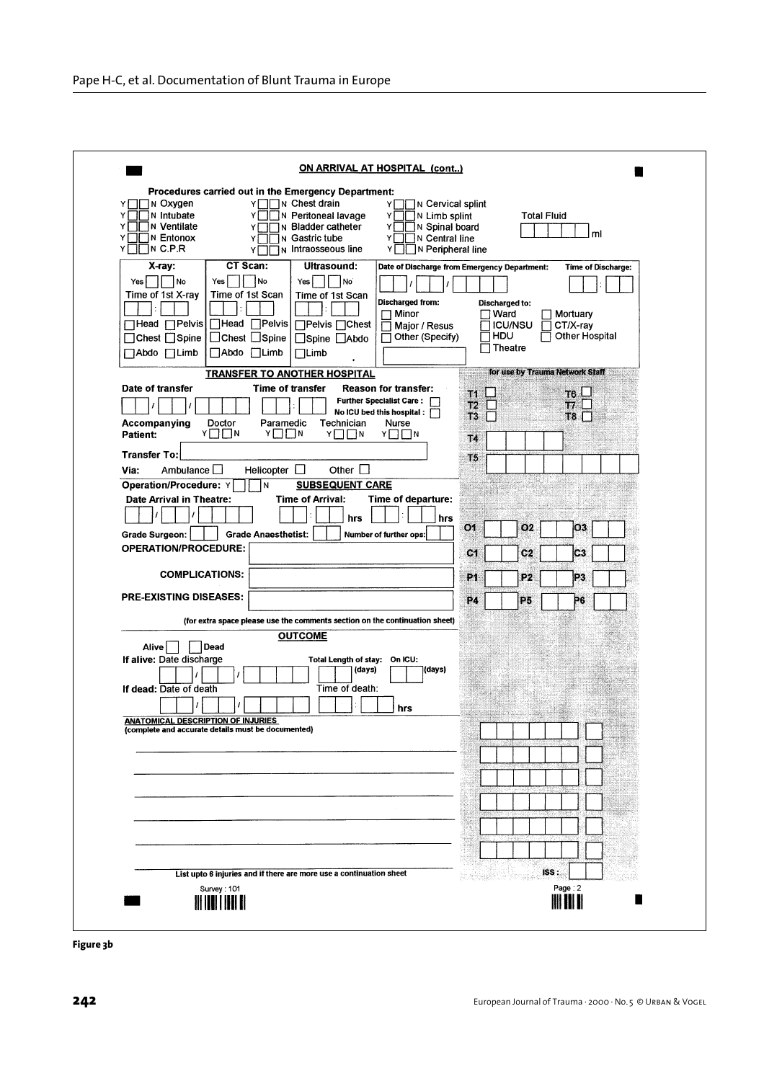| ON ARRIVAL AT HOSPITAL (cont)                                                                                                                                                                                                                                                                                                                                                                                        |                                                                                                                                                                                                                    |
|----------------------------------------------------------------------------------------------------------------------------------------------------------------------------------------------------------------------------------------------------------------------------------------------------------------------------------------------------------------------------------------------------------------------|--------------------------------------------------------------------------------------------------------------------------------------------------------------------------------------------------------------------|
| Procedures carried out in the Emergency Department:                                                                                                                                                                                                                                                                                                                                                                  |                                                                                                                                                                                                                    |
| T∏N Chest drain<br>Y□□N Oxygen<br>YГ<br>Υl<br><b>N</b> Intubate<br>N Peritoneal lavage<br>Y١<br>Y<br>Υ<br>∏ N Ventilate<br>In Bladder catheter<br>Y١<br>Y١<br>ΥJ<br>Y□□N Entonox<br>N Gastric tube<br>∃∏ N Central line<br>Y<br>ΥI<br>Y∏∏N C.P.R<br>N Intraosseous line<br>ΥI<br>Y                                                                                                                                   | ิ่ Cervical splint<br>N Limb splint<br><b>Total Fluid</b><br>IN Spinal board<br>ml<br>N Peripheral line                                                                                                            |
| CT Scan:<br>Ultrasound:<br>$X-ray:$<br>  No<br>Yes    <br>Yes<br>Yes<br>No <sup>'</sup><br>  No<br>Time of 1st Scan<br>Time of 1st X-ray<br>Time of 1st Scan<br>Discharged from:<br>$\Box$ Minor<br>□Head □Pelvis<br>ΠHead ΠPelvis<br>□Pelvis □ Chest<br>Major / Resus<br>□ Other (Specify)<br>□ Chest □ Spine<br>$\Box$ Chest $\Box$ Spine<br>□Spine □Abdo<br>□Abdo □Limb<br>$\Box$ Abdo $\Box$ Limb<br>$\Box$ Limb | Date of Discharge from Emergency Department:<br><b>Time of Discharge:</b><br><b>Discharged to:</b><br>1 Ward<br>  Mortuary<br><b>ICU/NSU</b><br>$CT/X-ray$<br>ר HDU<br>Other Hospital<br>$\overline{\Box}$ Theatre |
| <b>TRANSFER TO ANOTHER HOSPITAL</b>                                                                                                                                                                                                                                                                                                                                                                                  | for use by Trauma Network Staff                                                                                                                                                                                    |
| Date of transfer<br>Time of transfer<br><b>Reason for transfer:</b><br><b>Further Specialist Care:</b><br>No ICU bed this hospital:<br>Technician<br>Accompanying<br>Doctor<br>Paramedic<br>Nurse<br>Y□□N<br>YIIN<br>YITIN<br>YIIN<br>Patient:                                                                                                                                                                       | J1<br>T6 LJ<br>T2<br>17.<br>T3<br>T8<br>T4                                                                                                                                                                         |
| <b>Transfer To:</b>                                                                                                                                                                                                                                                                                                                                                                                                  | TЬ                                                                                                                                                                                                                 |
| Other $\square$<br>Helicopter $\square$<br>Ambulance L<br>Via:                                                                                                                                                                                                                                                                                                                                                       |                                                                                                                                                                                                                    |
| <b>SUBSEQUENT CARE</b><br><b>Operation/Procedure: Y</b><br>İΝ                                                                                                                                                                                                                                                                                                                                                        |                                                                                                                                                                                                                    |
| Date Arrival in Theatre:<br><b>Time of Arrival:</b><br>Time of departure:<br>hrs                                                                                                                                                                                                                                                                                                                                     | hrs                                                                                                                                                                                                                |
| <b>Grade Anaesthetist:</b><br>Grade Surgeon:<br>Number of further ops:                                                                                                                                                                                                                                                                                                                                               | O <sub>1</sub><br>O <sub>2</sub><br>O3                                                                                                                                                                             |
| <b>OPERATION/PROCEDURE:</b>                                                                                                                                                                                                                                                                                                                                                                                          | C <sub>2</sub><br>C <sub>1</sub><br>C3                                                                                                                                                                             |
| <b>COMPLICATIONS:</b>                                                                                                                                                                                                                                                                                                                                                                                                | P <sub>1</sub><br>P2<br>P3                                                                                                                                                                                         |
| <b>PRE-EXISTING DISEASES:</b>                                                                                                                                                                                                                                                                                                                                                                                        | P4<br><b>P5</b><br>P6                                                                                                                                                                                              |
| (for extra space please use the comments section on the continuation sheet)                                                                                                                                                                                                                                                                                                                                          |                                                                                                                                                                                                                    |
| <b>OUTCOME</b>                                                                                                                                                                                                                                                                                                                                                                                                       |                                                                                                                                                                                                                    |
| Dead<br>Alive<br>If alive: Date discharge<br>Total Length of stay: On ICU:<br>(days)<br>(days)<br>Time of death:<br>If dead: Date of death<br>hrs                                                                                                                                                                                                                                                                    |                                                                                                                                                                                                                    |
| <b>ANATOMICAL DESCRIPTION OF INJURIES</b>                                                                                                                                                                                                                                                                                                                                                                            |                                                                                                                                                                                                                    |
| (complete and accurate details must be documented)                                                                                                                                                                                                                                                                                                                                                                   |                                                                                                                                                                                                                    |
|                                                                                                                                                                                                                                                                                                                                                                                                                      |                                                                                                                                                                                                                    |
|                                                                                                                                                                                                                                                                                                                                                                                                                      |                                                                                                                                                                                                                    |
|                                                                                                                                                                                                                                                                                                                                                                                                                      |                                                                                                                                                                                                                    |
|                                                                                                                                                                                                                                                                                                                                                                                                                      |                                                                                                                                                                                                                    |
|                                                                                                                                                                                                                                                                                                                                                                                                                      |                                                                                                                                                                                                                    |
|                                                                                                                                                                                                                                                                                                                                                                                                                      |                                                                                                                                                                                                                    |
|                                                                                                                                                                                                                                                                                                                                                                                                                      |                                                                                                                                                                                                                    |
| List upto 6 injuries and if there are more use a continuation sheet                                                                                                                                                                                                                                                                                                                                                  | ISS:                                                                                                                                                                                                               |
| Survey: 101<br><u> HIII III III II</u>                                                                                                                                                                                                                                                                                                                                                                               | Page: 2<br><b>III III II</b>                                                                                                                                                                                       |
|                                                                                                                                                                                                                                                                                                                                                                                                                      |                                                                                                                                                                                                                    |

**Figure 3b**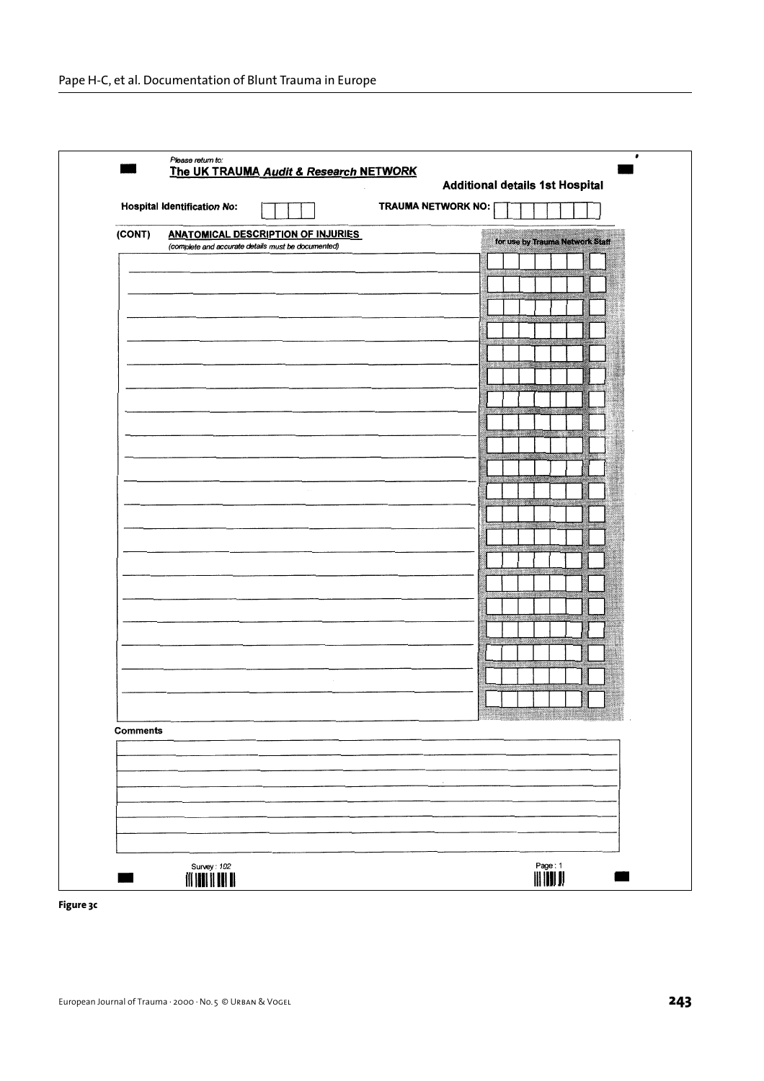|                 |                                                    | Additional details 1st Hospital |  |  |                                 |
|-----------------|----------------------------------------------------|---------------------------------|--|--|---------------------------------|
|                 | <b>Hospital Identification No:</b>                 | TRAUMA NETWORK NO:              |  |  |                                 |
| (CONT)          | <b>ANATOMICAL DESCRIPTION OF INJURIES</b>          |                                 |  |  |                                 |
|                 | (complete and accurate details must be documented) |                                 |  |  | for use by Trauma Network Staff |
|                 |                                                    |                                 |  |  |                                 |
|                 |                                                    |                                 |  |  |                                 |
|                 |                                                    |                                 |  |  |                                 |
|                 |                                                    |                                 |  |  |                                 |
|                 |                                                    |                                 |  |  |                                 |
|                 |                                                    |                                 |  |  |                                 |
|                 |                                                    |                                 |  |  |                                 |
|                 |                                                    |                                 |  |  |                                 |
|                 |                                                    |                                 |  |  |                                 |
|                 |                                                    |                                 |  |  |                                 |
|                 |                                                    |                                 |  |  |                                 |
|                 |                                                    |                                 |  |  |                                 |
|                 |                                                    |                                 |  |  |                                 |
|                 |                                                    |                                 |  |  |                                 |
|                 |                                                    |                                 |  |  |                                 |
|                 |                                                    |                                 |  |  |                                 |
|                 |                                                    |                                 |  |  |                                 |
|                 |                                                    |                                 |  |  |                                 |
|                 |                                                    |                                 |  |  |                                 |
|                 |                                                    |                                 |  |  |                                 |
|                 |                                                    |                                 |  |  |                                 |
|                 |                                                    |                                 |  |  |                                 |
|                 |                                                    |                                 |  |  |                                 |
|                 |                                                    |                                 |  |  |                                 |
| <b>Comments</b> |                                                    |                                 |  |  |                                 |
|                 |                                                    |                                 |  |  |                                 |
|                 |                                                    |                                 |  |  |                                 |
|                 |                                                    |                                 |  |  |                                 |
|                 |                                                    |                                 |  |  |                                 |
|                 |                                                    |                                 |  |  |                                 |
|                 |                                                    |                                 |  |  |                                 |

**Figure 3c**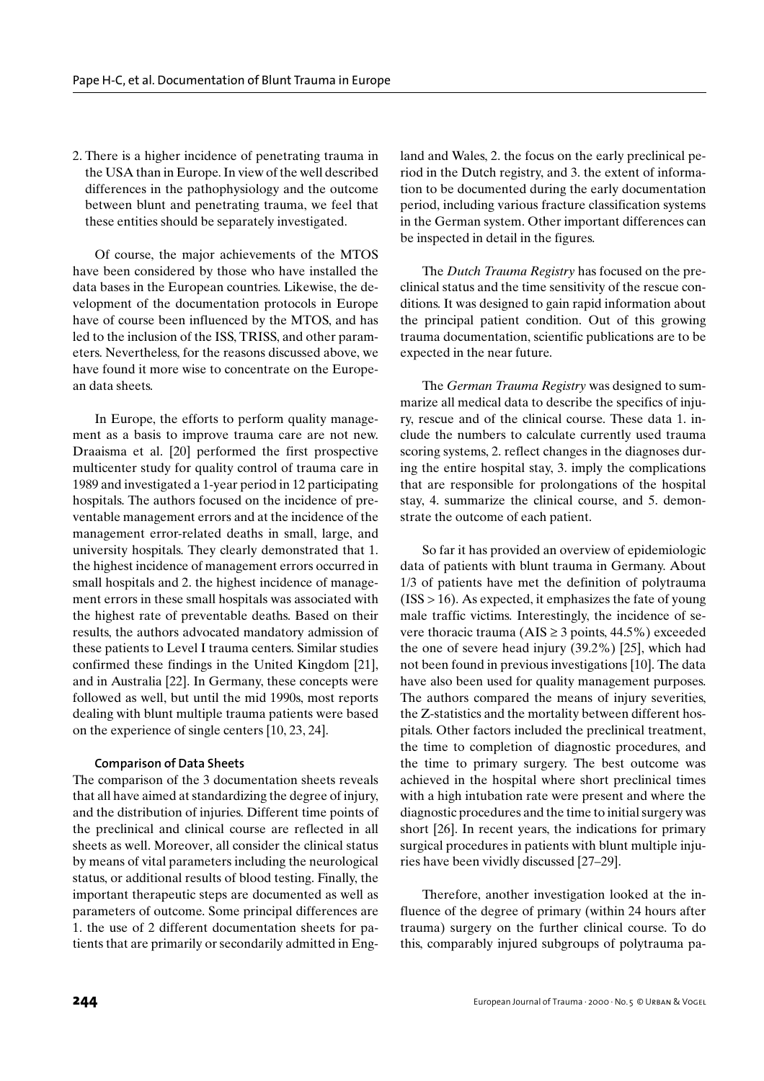2. There is a higher incidence of penetrating trauma in the USA than in Europe. In view of the well described differences in the pathophysiology and the outcome between blunt and penetrating trauma, we feel that these entities should be separately investigated.

Of course, the major achievements of the MTOS have been considered by those who have installed the data bases in the European countries. Likewise, the development of the documentation protocols in Europe have of course been influenced by the MTOS, and has led to the inclusion of the ISS, TRISS, and other parameters. Nevertheless, for the reasons discussed above, we have found it more wise to concentrate on the European data sheets.

In Europe, the efforts to perform quality management as a basis to improve trauma care are not new. Draaisma et al. [20] performed the first prospective multicenter study for quality control of trauma care in 1989 and investigated a 1-year period in 12 participating hospitals. The authors focused on the incidence of preventable management errors and at the incidence of the management error-related deaths in small, large, and university hospitals. They clearly demonstrated that 1. the highest incidence of management errors occurred in small hospitals and 2. the highest incidence of management errors in these small hospitals was associated with the highest rate of preventable deaths. Based on their results, the authors advocated mandatory admission of these patients to Level I trauma centers. Similar studies confirmed these findings in the United Kingdom [21], and in Australia [22]. In Germany, these concepts were followed as well, but until the mid 1990s, most reports dealing with blunt multiple trauma patients were based on the experience of single centers [10, 23, 24].

# **Comparison of Data Sheets**

The comparison of the 3 documentation sheets reveals that all have aimed at standardizing the degree of injury, and the distribution of injuries. Different time points of the preclinical and clinical course are reflected in all sheets as well. Moreover, all consider the clinical status by means of vital parameters including the neurological status, or additional results of blood testing. Finally, the important therapeutic steps are documented as well as parameters of outcome. Some principal differences are 1. the use of 2 different documentation sheets for patients that are primarily or secondarily admitted in England and Wales, 2. the focus on the early preclinical period in the Dutch registry, and 3. the extent of information to be documented during the early documentation period, including various fracture classification systems in the German system. Other important differences can be inspected in detail in the figures.

The *Dutch Trauma Registry* has focused on the preclinical status and the time sensitivity of the rescue conditions. It was designed to gain rapid information about the principal patient condition. Out of this growing trauma documentation, scientific publications are to be expected in the near future.

The *German Trauma Registry* was designed to summarize all medical data to describe the specifics of injury, rescue and of the clinical course. These data 1. include the numbers to calculate currently used trauma scoring systems, 2. reflect changes in the diagnoses during the entire hospital stay, 3. imply the complications that are responsible for prolongations of the hospital stay, 4. summarize the clinical course, and 5. demonstrate the outcome of each patient.

So far it has provided an overview of epidemiologic data of patients with blunt trauma in Germany. About 1/3 of patients have met the definition of polytrauma  $(ISS > 16)$ . As expected, it emphasizes the fate of young male traffic victims. Interestingly, the incidence of severe thoracic trauma (AIS  $\geq$  3 points, 44.5%) exceeded the one of severe head injury (39.2%) [25], which had not been found in previous investigations [10]. The data have also been used for quality management purposes. The authors compared the means of injury severities, the Z-statistics and the mortality between different hospitals. Other factors included the preclinical treatment, the time to completion of diagnostic procedures, and the time to primary surgery. The best outcome was achieved in the hospital where short preclinical times with a high intubation rate were present and where the diagnostic procedures and the time to initial surgery was short [26]. In recent years, the indications for primary surgical procedures in patients with blunt multiple injuries have been vividly discussed [27–29].

Therefore, another investigation looked at the influence of the degree of primary (within 24 hours after trauma) surgery on the further clinical course. To do this, comparably injured subgroups of polytrauma pa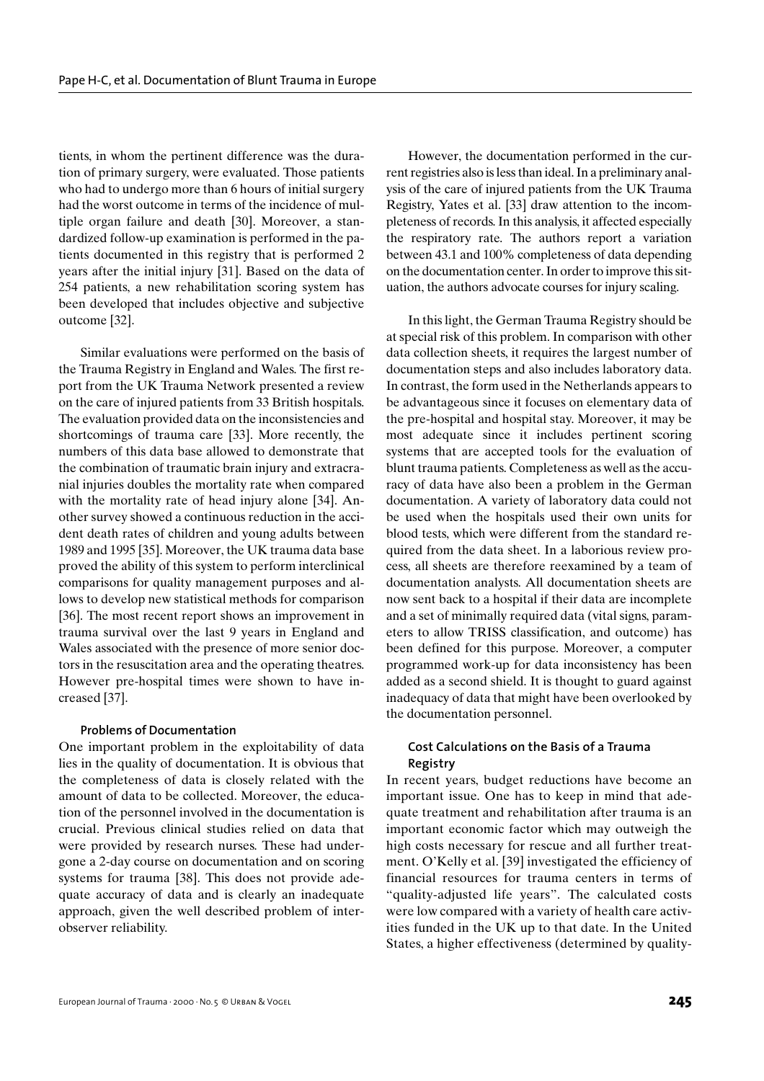tients, in whom the pertinent difference was the duration of primary surgery, were evaluated. Those patients who had to undergo more than 6 hours of initial surgery had the worst outcome in terms of the incidence of multiple organ failure and death [30]. Moreover, a standardized follow-up examination is performed in the patients documented in this registry that is performed 2 years after the initial injury [31]. Based on the data of 254 patients, a new rehabilitation scoring system has been developed that includes objective and subjective outcome [32].

Similar evaluations were performed on the basis of the Trauma Registry in England and Wales. The first report from the UK Trauma Network presented a review on the care of injured patients from 33 British hospitals. The evaluation provided data on the inconsistencies and shortcomings of trauma care [33]. More recently, the numbers of this data base allowed to demonstrate that the combination of traumatic brain injury and extracranial injuries doubles the mortality rate when compared with the mortality rate of head injury alone [34]. Another survey showed a continuous reduction in the accident death rates of children and young adults between 1989 and 1995 [35]. Moreover, the UK trauma data base proved the ability of this system to perform interclinical comparisons for quality management purposes and allows to develop new statistical methods for comparison [36]. The most recent report shows an improvement in trauma survival over the last 9 years in England and Wales associated with the presence of more senior doctors in the resuscitation area and the operating theatres. However pre-hospital times were shown to have increased [37].

#### **Problems of Documentation**

One important problem in the exploitability of data lies in the quality of documentation. It is obvious that the completeness of data is closely related with the amount of data to be collected. Moreover, the education of the personnel involved in the documentation is crucial. Previous clinical studies relied on data that were provided by research nurses. These had undergone a 2-day course on documentation and on scoring systems for trauma [38]. This does not provide adequate accuracy of data and is clearly an inadequate approach, given the well described problem of interobserver reliability.

However, the documentation performed in the current registries also is less than ideal. In a preliminary analysis of the care of injured patients from the UK Trauma Registry, Yates et al. [33] draw attention to the incompleteness of records. In this analysis, it affected especially the respiratory rate. The authors report a variation between 43.1 and 100% completeness of data depending on the documentation center. In order to improve this situation, the authors advocate courses for injury scaling.

In this light, the German Trauma Registry should be at special risk of this problem. In comparison with other data collection sheets, it requires the largest number of documentation steps and also includes laboratory data. In contrast, the form used in the Netherlands appears to be advantageous since it focuses on elementary data of the pre-hospital and hospital stay. Moreover, it may be most adequate since it includes pertinent scoring systems that are accepted tools for the evaluation of blunt trauma patients. Completeness as well as the accuracy of data have also been a problem in the German documentation. A variety of laboratory data could not be used when the hospitals used their own units for blood tests, which were different from the standard required from the data sheet. In a laborious review process, all sheets are therefore reexamined by a team of documentation analysts. All documentation sheets are now sent back to a hospital if their data are incomplete and a set of minimally required data (vital signs, parameters to allow TRISS classification, and outcome) has been defined for this purpose. Moreover, a computer programmed work-up for data inconsistency has been added as a second shield. It is thought to guard against inadequacy of data that might have been overlooked by the documentation personnel.

# **Cost Calculations on the Basis of a Trauma Registry**

In recent years, budget reductions have become an important issue. One has to keep in mind that adequate treatment and rehabilitation after trauma is an important economic factor which may outweigh the high costs necessary for rescue and all further treatment. O'Kelly et al. [39] investigated the efficiency of financial resources for trauma centers in terms of "quality-adjusted life years". The calculated costs were low compared with a variety of health care activities funded in the UK up to that date. In the United States, a higher effectiveness (determined by quality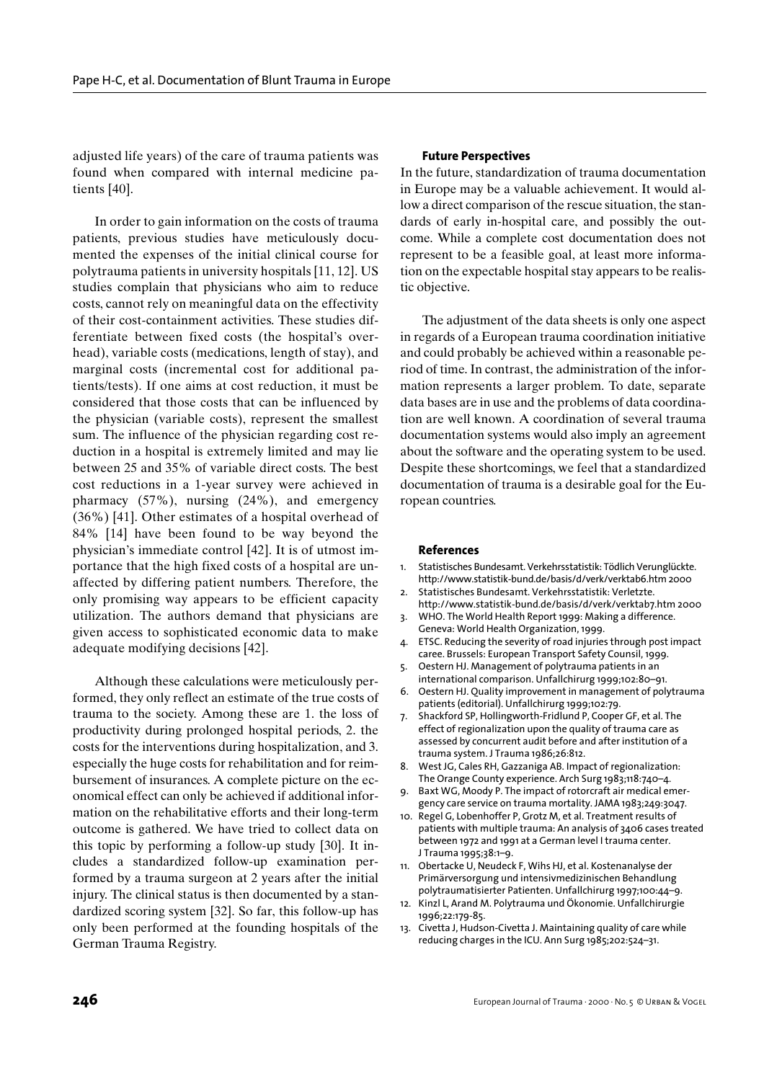adjusted life years) of the care of trauma patients was found when compared with internal medicine patients [40].

In order to gain information on the costs of trauma patients, previous studies have meticulously documented the expenses of the initial clinical course for polytrauma patients in university hospitals [11, 12]. US studies complain that physicians who aim to reduce costs, cannot rely on meaningful data on the effectivity of their cost-containment activities. These studies differentiate between fixed costs (the hospital's overhead), variable costs (medications, length of stay), and marginal costs (incremental cost for additional patients/tests). If one aims at cost reduction, it must be considered that those costs that can be influenced by the physician (variable costs), represent the smallest sum. The influence of the physician regarding cost reduction in a hospital is extremely limited and may lie between 25 and 35% of variable direct costs. The best cost reductions in a 1-year survey were achieved in pharmacy (57%), nursing (24%), and emergency (36%) [41]. Other estimates of a hospital overhead of 84% [14] have been found to be way beyond the physician's immediate control [42]. It is of utmost importance that the high fixed costs of a hospital are unaffected by differing patient numbers. Therefore, the only promising way appears to be efficient capacity utilization. The authors demand that physicians are given access to sophisticated economic data to make adequate modifying decisions [42].

Although these calculations were meticulously performed, they only reflect an estimate of the true costs of trauma to the society. Among these are 1. the loss of productivity during prolonged hospital periods, 2. the costs for the interventions during hospitalization, and 3. especially the huge costs for rehabilitation and for reimbursement of insurances. A complete picture on the economical effect can only be achieved if additional information on the rehabilitative efforts and their long-term outcome is gathered. We have tried to collect data on this topic by performing a follow-up study [30]. It includes a standardized follow-up examination performed by a trauma surgeon at 2 years after the initial injury. The clinical status is then documented by a standardized scoring system [32]. So far, this follow-up has only been performed at the founding hospitals of the German Trauma Registry.

#### **Future Perspectives**

In the future, standardization of trauma documentation in Europe may be a valuable achievement. It would allow a direct comparison of the rescue situation, the standards of early in-hospital care, and possibly the outcome. While a complete cost documentation does not represent to be a feasible goal, at least more information on the expectable hospital stay appears to be realistic objective.

The adjustment of the data sheets is only one aspect in regards of a European trauma coordination initiative and could probably be achieved within a reasonable period of time. In contrast, the administration of the information represents a larger problem. To date, separate data bases are in use and the problems of data coordination are well known. A coordination of several trauma documentation systems would also imply an agreement about the software and the operating system to be used. Despite these shortcomings, we feel that a standardized documentation of trauma is a desirable goal for the European countries.

#### **References**

- 1. Statistisches Bundesamt. Verkehrsstatistik: Tödlich Verunglückte. http://www.statistik-bund.de/basis/d/verk/verktab6.htm 2000
- 2. Statistisches Bundesamt. Verkehrsstatistik: Verletzte. http://www.statistik-bund.de/basis/d/verk/verktab7.htm 2000
- 3. WHO. The World Health Report 1999: Making a difference. Geneva: World Health Organization, 1999.
- 4. ETSC. Reducing the severity of road injuries through post impact caree. Brussels: European Transport Safety Counsil, 1999.
- 5. Oestern HJ. Management of polytrauma patients in an international comparison. Unfallchirurg 1999;102:80–91.
- 6. Oestern HJ. Quality improvement in management of polytrauma patients (editorial). Unfallchirurg 1999;102:79.
- 7. Shackford SP, Hollingworth-Fridlund P, Cooper GF, et al. The effect of regionalization upon the quality of trauma care as assessed by concurrent audit before and after institution of a trauma system. J Trauma 1986;26:812.
- 8. West JG, Cales RH, Gazzaniga AB. Impact of regionalization: The Orange County experience. Arch Surg 1983;118:740–4.
- Baxt WG, Moody P. The impact of rotorcraft air medical emergency care service on trauma mortality. JAMA 1983;249:3047.
- 10. Regel G, Lobenhoffer P, Grotz M, et al. Treatment results of patients with multiple trauma: An analysis of 3406 cases treated between 1972 and 1991 at a German level I trauma center. J Trauma 1995;38:1–9.
- 11. Obertacke U, Neudeck F, Wihs HJ, et al. Kostenanalyse der Primärversorgung und intensivmedizinischen Behandlung polytraumatisierter Patienten. Unfallchirurg 1997;100:44–9.
- 12. Kinzl L, Arand M. Polytrauma und Ökonomie. Unfallchirurgie 1996;22:179-85.
- 13. Civetta J, Hudson-Civetta J. Maintaining quality of care while reducing charges in the ICU. Ann Surg 1985;202:524–31.